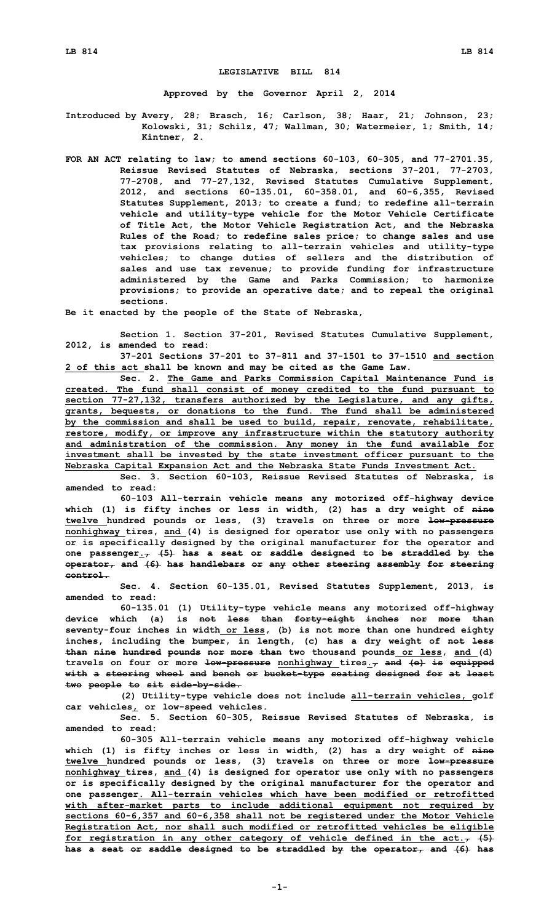## **LEGISLATIVE BILL 814**

**Approved by the Governor April 2, 2014**

**Introduced by Avery, 28; Brasch, 16; Carlson, 38; Haar, 21; Johnson, 23; Kolowski, 31; Schilz, 47; Wallman, 30; Watermeier, 1; Smith, 14; Kintner, 2.**

**FOR AN ACT relating to law; to amend sections 60-103, 60-305, and 77-2701.35, Reissue Revised Statutes of Nebraska, sections 37-201, 77-2703, 77-2708, and 77-27,132, Revised Statutes Cumulative Supplement, 2012, and sections 60-135.01, 60-358.01, and 60-6,355, Revised Statutes Supplement, 2013; to create <sup>a</sup> fund; to redefine all-terrain vehicle and utility-type vehicle for the Motor Vehicle Certificate of Title Act, the Motor Vehicle Registration Act, and the Nebraska Rules of the Road; to redefine sales price; to change sales and use tax provisions relating to all-terrain vehicles and utility-type vehicles; to change duties of sellers and the distribution of sales and use tax revenue; to provide funding for infrastructure administered by the Game and Parks Commission; to harmonize provisions; to provide an operative date; and to repeal the original sections.**

**Be it enacted by the people of the State of Nebraska,**

**Section 1. Section 37-201, Revised Statutes Cumulative Supplement, 2012, is amended to read:**

**37-201 Sections 37-201 to 37-811 and 37-1501 to 37-1510 and section 2 of this act shall be known and may be cited as the Game Law.**

**Sec. 2. The Game and Parks Commission Capital Maintenance Fund is created. The fund shall consist of money credited to the fund pursuant to section 77-27,132, transfers authorized by the Legislature, and any gifts, grants, bequests, or donations to the fund. The fund shall be administered by the commission and shall be used to build, repair, renovate, rehabilitate, restore, modify, or improve any infrastructure within the statutory authority and administration of the commission. Any money in the fund available for investment shall be invested by the state investment officer pursuant to the Nebraska Capital Expansion Act and the Nebraska State Funds Investment Act.**

**Sec. 3. Section 60-103, Reissue Revised Statutes of Nebraska, is amended to read:**

**60-103 All-terrain vehicle means any motorized off-highway device which (1) is fifty inches or less in width, (2) has <sup>a</sup> dry weight of nine twelve hundred pounds or less, (3) travels on three or more low-pressure nonhighway tires, and (4) is designed for operator use only with no passengers or is specifically designed by the original manufacturer for the operator and one passenger., (5) has <sup>a</sup> seat or saddle designed to be straddled by the operator, and (6) has handlebars or any other steering assembly for steering control.**

**Sec. 4. Section 60-135.01, Revised Statutes Supplement, 2013, is amended to read:**

**60-135.01 (1) Utility-type vehicle means any motorized off-highway device which (a) is not less than forty-eight inches nor more than seventy-four inches in width or less, (b) is not more than one hundred eighty inches, including the bumper, in length, (c) has <sup>a</sup> dry weight of not less than nine hundred pounds nor more than two thousand pounds or less, and (d) travels on four or more low-pressure nonhighway tires., and (e) is equipped with <sup>a</sup> steering wheel and bench or bucket-type seating designed for at least two people to sit side-by-side.**

**(2) Utility-type vehicle does not include all-terrain vehicles, golf car vehicles, or low-speed vehicles.**

**Sec. 5. Section 60-305, Reissue Revised Statutes of Nebraska, is amended to read:**

**60-305 All-terrain vehicle means any motorized off-highway vehicle which (1) is fifty inches or less in width, (2) has <sup>a</sup> dry weight of nine twelve hundred pounds or less, (3) travels on three or more low-pressure nonhighway tires, and (4) is designed for operator use only with no passengers or is specifically designed by the original manufacturer for the operator and one passenger. All-terrain vehicles which have been modified or retrofitted with after-market parts to include additional equipment not required by sections 60-6,357 and 60-6,358 shall not be registered under the Motor Vehicle Registration Act, nor shall such modified or retrofitted vehicles be eligible for registration in any other category of vehicle defined in the act., (5) has <sup>a</sup> seat or saddle designed to be straddled by the operator, and (6) has**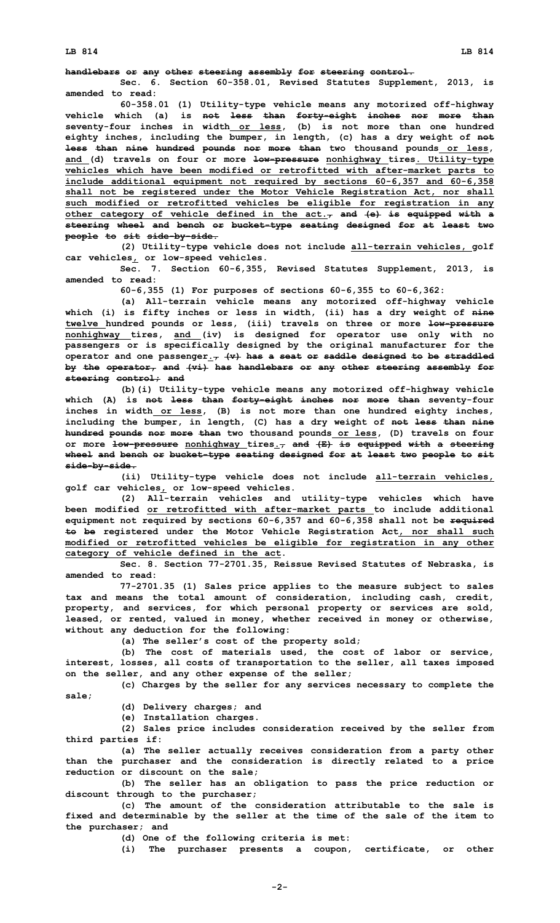## **handlebars or any other steering assembly for steering control.**

**Sec. 6. Section 60-358.01, Revised Statutes Supplement, 2013, is amended to read:**

**60-358.01 (1) Utility-type vehicle means any motorized off-highway vehicle which (a) is not less than forty-eight inches nor more than seventy-four inches in width or less, (b) is not more than one hundred eighty inches, including the bumper, in length, (c) has <sup>a</sup> dry weight of not less than nine hundred pounds nor more than two thousand pounds or less, and (d) travels on four or more low-pressure nonhighway tires. Utility-type vehicles which have been modified or retrofitted with after-market parts to include additional equipment not required by sections 60-6,357 and 60-6,358 shall not be registered under the Motor Vehicle Registration Act, nor shall such modified or retrofitted vehicles be eligible for registration in any other category of vehicle defined in the act., and (e) is equipped with <sup>a</sup> steering wheel and bench or bucket-type seating designed for at least two people to sit side-by-side.**

**(2) Utility-type vehicle does not include all-terrain vehicles, golf car vehicles, or low-speed vehicles.**

**Sec. 7. Section 60-6,355, Revised Statutes Supplement, 2013, is amended to read:**

**60-6,355 (1) For purposes of sections 60-6,355 to 60-6,362:**

**(a) All-terrain vehicle means any motorized off-highway vehicle which (i) is fifty inches or less in width, (ii) has <sup>a</sup> dry weight of nine twelve hundred pounds or less, (iii) travels on three or more low-pressure nonhighway tires, and (iv) is designed for operator use only with no passengers or is specifically designed by the original manufacturer for the operator and one passenger., (v) has <sup>a</sup> seat or saddle designed to be straddled by the operator, and (vi) has handlebars or any other steering assembly for steering control; and**

**(b)(i) Utility-type vehicle means any motorized off-highway vehicle which (A) is not less than forty-eight inches nor more than seventy-four inches in width or less, (B) is not more than one hundred eighty inches, including the bumper, in length, (C) has <sup>a</sup> dry weight of not less than nine hundred pounds nor more than two thousand pounds or less, (D) travels on four or more low-pressure nonhighway tires., and (E) is equipped with <sup>a</sup> steering wheel and bench or bucket-type seating designed for at least two people to sit side-by-side.**

**(ii) Utility-type vehicle does not include all-terrain vehicles, golf car vehicles, or low-speed vehicles.**

**(2) All-terrain vehicles and utility-type vehicles which have been modified or retrofitted with after-market parts to include additional equipment not required by sections 60-6,357 and 60-6,358 shall not be required to be registered under the Motor Vehicle Registration Act, nor shall such modified or retrofitted vehicles be eligible for registration in any other category of vehicle defined in the act.**

**Sec. 8. Section 77-2701.35, Reissue Revised Statutes of Nebraska, is amended to read:**

**77-2701.35 (1) Sales price applies to the measure subject to sales tax and means the total amount of consideration, including cash, credit, property, and services, for which personal property or services are sold, leased, or rented, valued in money, whether received in money or otherwise, without any deduction for the following:**

**(a) The seller's cost of the property sold;**

**(b) The cost of materials used, the cost of labor or service, interest, losses, all costs of transportation to the seller, all taxes imposed on the seller, and any other expense of the seller;**

**(c) Charges by the seller for any services necessary to complete the**

**sale;**

**(d) Delivery charges; and**

**(e) Installation charges.**

**(2) Sales price includes consideration received by the seller from third parties if:**

**(a) The seller actually receives consideration from <sup>a</sup> party other than the purchaser and the consideration is directly related to <sup>a</sup> price reduction or discount on the sale;**

**(b) The seller has an obligation to pass the price reduction or discount through to the purchaser;**

**(c) The amount of the consideration attributable to the sale is fixed and determinable by the seller at the time of the sale of the item to the purchaser; and**

**(d) One of the following criteria is met:**

**(i) The purchaser presents <sup>a</sup> coupon, certificate, or other**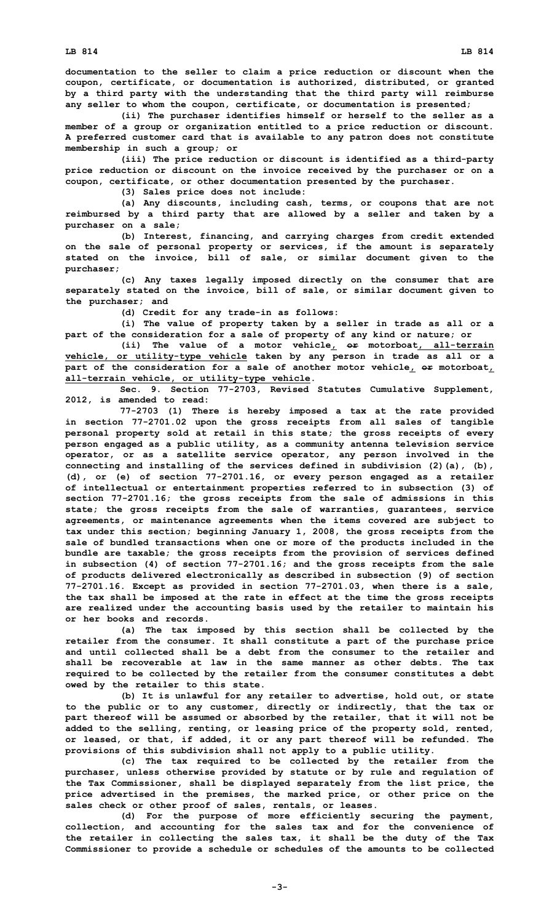**documentation to the seller to claim <sup>a</sup> price reduction or discount when the coupon, certificate, or documentation is authorized, distributed, or granted by <sup>a</sup> third party with the understanding that the third party will reimburse any seller to whom the coupon, certificate, or documentation is presented;**

**(ii) The purchaser identifies himself or herself to the seller as <sup>a</sup> member of <sup>a</sup> group or organization entitled to <sup>a</sup> price reduction or discount. A preferred customer card that is available to any patron does not constitute membership in such <sup>a</sup> group; or**

**(iii) The price reduction or discount is identified as <sup>a</sup> third-party price reduction or discount on the invoice received by the purchaser or on <sup>a</sup> coupon, certificate, or other documentation presented by the purchaser.**

**(3) Sales price does not include:**

**(a) Any discounts, including cash, terms, or coupons that are not reimbursed by <sup>a</sup> third party that are allowed by <sup>a</sup> seller and taken by <sup>a</sup> purchaser on <sup>a</sup> sale;**

**(b) Interest, financing, and carrying charges from credit extended on the sale of personal property or services, if the amount is separately stated on the invoice, bill of sale, or similar document given to the purchaser;**

**(c) Any taxes legally imposed directly on the consumer that are separately stated on the invoice, bill of sale, or similar document given to the purchaser; and**

**(d) Credit for any trade-in as follows:**

**(i) The value of property taken by <sup>a</sup> seller in trade as all or <sup>a</sup> part of the consideration for <sup>a</sup> sale of property of any kind or nature; or**

**(ii) The value of <sup>a</sup> motor vehicle, or motorboat, all-terrain vehicle, or utility-type vehicle taken by any person in trade as all or <sup>a</sup> part of the consideration for <sup>a</sup> sale of another motor vehicle, or motorboat, all-terrain vehicle, or utility-type vehicle.**

**Sec. 9. Section 77-2703, Revised Statutes Cumulative Supplement, 2012, is amended to read:**

**77-2703 (1) There is hereby imposed <sup>a</sup> tax at the rate provided in section 77-2701.02 upon the gross receipts from all sales of tangible personal property sold at retail in this state; the gross receipts of every person engaged as <sup>a</sup> public utility, as <sup>a</sup> community antenna television service operator, or as <sup>a</sup> satellite service operator, any person involved in the connecting and installing of the services defined in subdivision (2)(a), (b), (d), or (e) of section 77-2701.16, or every person engaged as <sup>a</sup> retailer of intellectual or entertainment properties referred to in subsection (3) of section 77-2701.16; the gross receipts from the sale of admissions in this state; the gross receipts from the sale of warranties, guarantees, service agreements, or maintenance agreements when the items covered are subject to tax under this section; beginning January 1, 2008, the gross receipts from the sale of bundled transactions when one or more of the products included in the bundle are taxable; the gross receipts from the provision of services defined in subsection (4) of section 77-2701.16; and the gross receipts from the sale of products delivered electronically as described in subsection (9) of section 77-2701.16. Except as provided in section 77-2701.03, when there is <sup>a</sup> sale, the tax shall be imposed at the rate in effect at the time the gross receipts are realized under the accounting basis used by the retailer to maintain his or her books and records.**

**(a) The tax imposed by this section shall be collected by the retailer from the consumer. It shall constitute <sup>a</sup> part of the purchase price and until collected shall be a debt from the consumer to the retailer and shall be recoverable at law in the same manner as other debts. The tax required to be collected by the retailer from the consumer constitutes <sup>a</sup> debt owed by the retailer to this state.**

**(b) It is unlawful for any retailer to advertise, hold out, or state to the public or to any customer, directly or indirectly, that the tax or part thereof will be assumed or absorbed by the retailer, that it will not be added to the selling, renting, or leasing price of the property sold, rented, or leased, or that, if added, it or any part thereof will be refunded. The provisions of this subdivision shall not apply to <sup>a</sup> public utility.**

**(c) The tax required to be collected by the retailer from the purchaser, unless otherwise provided by statute or by rule and regulation of the Tax Commissioner, shall be displayed separately from the list price, the price advertised in the premises, the marked price, or other price on the sales check or other proof of sales, rentals, or leases.**

**(d) For the purpose of more efficiently securing the payment, collection, and accounting for the sales tax and for the convenience of the retailer in collecting the sales tax, it shall be the duty of the Tax Commissioner to provide <sup>a</sup> schedule or schedules of the amounts to be collected**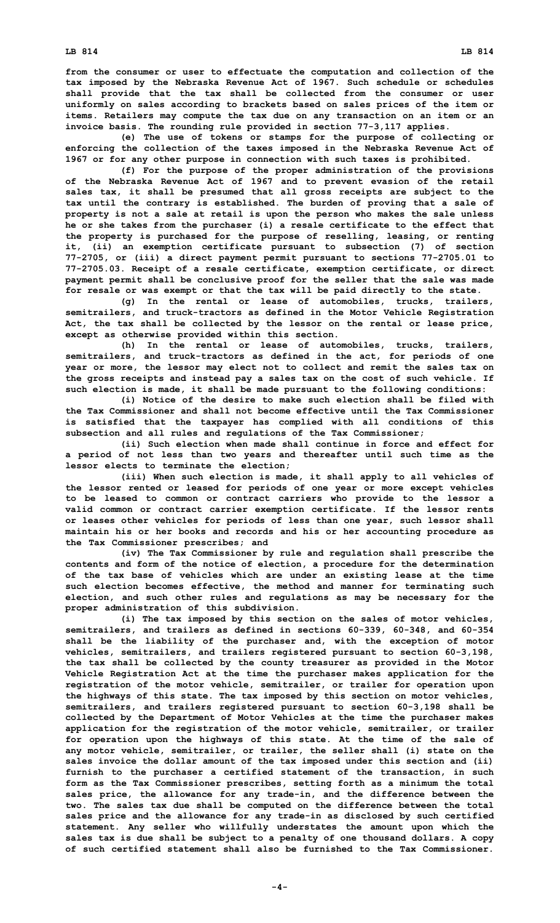**LB 814 LB 814**

**from the consumer or user to effectuate the computation and collection of the tax imposed by the Nebraska Revenue Act of 1967. Such schedule or schedules shall provide that the tax shall be collected from the consumer or user uniformly on sales according to brackets based on sales prices of the item or items. Retailers may compute the tax due on any transaction on an item or an invoice basis. The rounding rule provided in section 77-3,117 applies.**

**(e) The use of tokens or stamps for the purpose of collecting or enforcing the collection of the taxes imposed in the Nebraska Revenue Act of 1967 or for any other purpose in connection with such taxes is prohibited.**

**(f) For the purpose of the proper administration of the provisions of the Nebraska Revenue Act of 1967 and to prevent evasion of the retail sales tax, it shall be presumed that all gross receipts are subject to the tax until the contrary is established. The burden of proving that <sup>a</sup> sale of property is not <sup>a</sup> sale at retail is upon the person who makes the sale unless he or she takes from the purchaser (i) <sup>a</sup> resale certificate to the effect that the property is purchased for the purpose of reselling, leasing, or renting it, (ii) an exemption certificate pursuant to subsection (7) of section 77-2705, or (iii) <sup>a</sup> direct payment permit pursuant to sections 77-2705.01 to 77-2705.03. Receipt of <sup>a</sup> resale certificate, exemption certificate, or direct payment permit shall be conclusive proof for the seller that the sale was made for resale or was exempt or that the tax will be paid directly to the state.**

**(g) In the rental or lease of automobiles, trucks, trailers, semitrailers, and truck-tractors as defined in the Motor Vehicle Registration Act, the tax shall be collected by the lessor on the rental or lease price, except as otherwise provided within this section.**

**(h) In the rental or lease of automobiles, trucks, trailers, semitrailers, and truck-tractors as defined in the act, for periods of one year or more, the lessor may elect not to collect and remit the sales tax on the gross receipts and instead pay <sup>a</sup> sales tax on the cost of such vehicle. If such election is made, it shall be made pursuant to the following conditions:**

**(i) Notice of the desire to make such election shall be filed with the Tax Commissioner and shall not become effective until the Tax Commissioner is satisfied that the taxpayer has complied with all conditions of this subsection and all rules and regulations of the Tax Commissioner;**

**(ii) Such election when made shall continue in force and effect for <sup>a</sup> period of not less than two years and thereafter until such time as the lessor elects to terminate the election;**

**(iii) When such election is made, it shall apply to all vehicles of the lessor rented or leased for periods of one year or more except vehicles to be leased to common or contract carriers who provide to the lessor <sup>a</sup> valid common or contract carrier exemption certificate. If the lessor rents or leases other vehicles for periods of less than one year, such lessor shall maintain his or her books and records and his or her accounting procedure as the Tax Commissioner prescribes; and**

**(iv) The Tax Commissioner by rule and regulation shall prescribe the contents and form of the notice of election, <sup>a</sup> procedure for the determination of the tax base of vehicles which are under an existing lease at the time such election becomes effective, the method and manner for terminating such election, and such other rules and regulations as may be necessary for the proper administration of this subdivision.**

**(i) The tax imposed by this section on the sales of motor vehicles, semitrailers, and trailers as defined in sections 60-339, 60-348, and 60-354 shall be the liability of the purchaser and, with the exception of motor vehicles, semitrailers, and trailers registered pursuant to section 60-3,198, the tax shall be collected by the county treasurer as provided in the Motor Vehicle Registration Act at the time the purchaser makes application for the registration of the motor vehicle, semitrailer, or trailer for operation upon the highways of this state. The tax imposed by this section on motor vehicles, semitrailers, and trailers registered pursuant to section 60-3,198 shall be collected by the Department of Motor Vehicles at the time the purchaser makes application for the registration of the motor vehicle, semitrailer, or trailer for operation upon the highways of this state. At the time of the sale of any motor vehicle, semitrailer, or trailer, the seller shall (i) state on the sales invoice the dollar amount of the tax imposed under this section and (ii) furnish to the purchaser <sup>a</sup> certified statement of the transaction, in such form as the Tax Commissioner prescribes, setting forth as <sup>a</sup> minimum the total sales price, the allowance for any trade-in, and the difference between the two. The sales tax due shall be computed on the difference between the total sales price and the allowance for any trade-in as disclosed by such certified statement. Any seller who willfully understates the amount upon which the sales tax is due shall be subject to <sup>a</sup> penalty of one thousand dollars. A copy of such certified statement shall also be furnished to the Tax Commissioner.**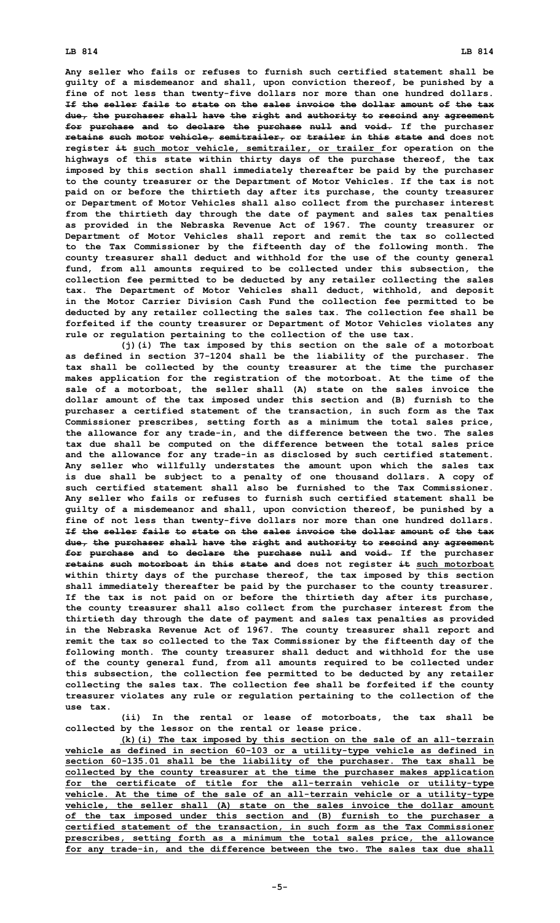## **LB 814 LB 814**

**Any seller who fails or refuses to furnish such certified statement shall be guilty of <sup>a</sup> misdemeanor and shall, upon conviction thereof, be punished by <sup>a</sup> fine of not less than twenty-five dollars nor more than one hundred dollars. If the seller fails to state on the sales invoice the dollar amount of the tax due, the purchaser shall have the right and authority to rescind any agreement for purchase and to declare the purchase null and void. If the purchaser retains such motor vehicle, semitrailer, or trailer in this state and does not register it such motor vehicle, semitrailer, or trailer for operation on the highways of this state within thirty days of the purchase thereof, the tax imposed by this section shall immediately thereafter be paid by the purchaser to the county treasurer or the Department of Motor Vehicles. If the tax is not paid on or before the thirtieth day after its purchase, the county treasurer or Department of Motor Vehicles shall also collect from the purchaser interest from the thirtieth day through the date of payment and sales tax penalties as provided in the Nebraska Revenue Act of 1967. The county treasurer or Department of Motor Vehicles shall report and remit the tax so collected to the Tax Commissioner by the fifteenth day of the following month. The county treasurer shall deduct and withhold for the use of the county general fund, from all amounts required to be collected under this subsection, the collection fee permitted to be deducted by any retailer collecting the sales tax. The Department of Motor Vehicles shall deduct, withhold, and deposit in the Motor Carrier Division Cash Fund the collection fee permitted to be deducted by any retailer collecting the sales tax. The collection fee shall be forfeited if the county treasurer or Department of Motor Vehicles violates any rule or regulation pertaining to the collection of the use tax.**

**(j)(i) The tax imposed by this section on the sale of <sup>a</sup> motorboat as defined in section 37-1204 shall be the liability of the purchaser. The tax shall be collected by the county treasurer at the time the purchaser makes application for the registration of the motorboat. At the time of the sale of <sup>a</sup> motorboat, the seller shall (A) state on the sales invoice the dollar amount of the tax imposed under this section and (B) furnish to the purchaser <sup>a</sup> certified statement of the transaction, in such form as the Tax Commissioner prescribes, setting forth as <sup>a</sup> minimum the total sales price, the allowance for any trade-in, and the difference between the two. The sales tax due shall be computed on the difference between the total sales price and the allowance for any trade-in as disclosed by such certified statement. Any seller who willfully understates the amount upon which the sales tax is due shall be subject to <sup>a</sup> penalty of one thousand dollars. A copy of such certified statement shall also be furnished to the Tax Commissioner. Any seller who fails or refuses to furnish such certified statement shall be guilty of <sup>a</sup> misdemeanor and shall, upon conviction thereof, be punished by <sup>a</sup> fine of not less than twenty-five dollars nor more than one hundred dollars. If the seller fails to state on the sales invoice the dollar amount of the tax due, the purchaser shall have the right and authority to rescind any agreement for purchase and to declare the purchase null and void. If the purchaser retains such motorboat in this state and does not register it such motorboat within thirty days of the purchase thereof, the tax imposed by this section shall immediately thereafter be paid by the purchaser to the county treasurer. If the tax is not paid on or before the thirtieth day after its purchase, the county treasurer shall also collect from the purchaser interest from the thirtieth day through the date of payment and sales tax penalties as provided in the Nebraska Revenue Act of 1967. The county treasurer shall report and remit the tax so collected to the Tax Commissioner by the fifteenth day of the following month. The county treasurer shall deduct and withhold for the use of the county general fund, from all amounts required to be collected under this subsection, the collection fee permitted to be deducted by any retailer collecting the sales tax. The collection fee shall be forfeited if the county treasurer violates any rule or regulation pertaining to the collection of the use tax.**

**(ii) In the rental or lease of motorboats, the tax shall be collected by the lessor on the rental or lease price.**

**(k)(i) The tax imposed by this section on the sale of an all-terrain vehicle as defined in section 60-103 or <sup>a</sup> utility-type vehicle as defined in section 60-135.01 shall be the liability of the purchaser. The tax shall be collected by the county treasurer at the time the purchaser makes application for the certificate of title for the all-terrain vehicle or utility-type vehicle. At the time of the sale of an all-terrain vehicle or <sup>a</sup> utility-type vehicle, the seller shall (A) state on the sales invoice the dollar amount of the tax imposed under this section and (B) furnish to the purchaser <sup>a</sup> certified statement of the transaction, in such form as the Tax Commissioner prescribes, setting forth as <sup>a</sup> minimum the total sales price, the allowance for any trade-in, and the difference between the two. The sales tax due shall**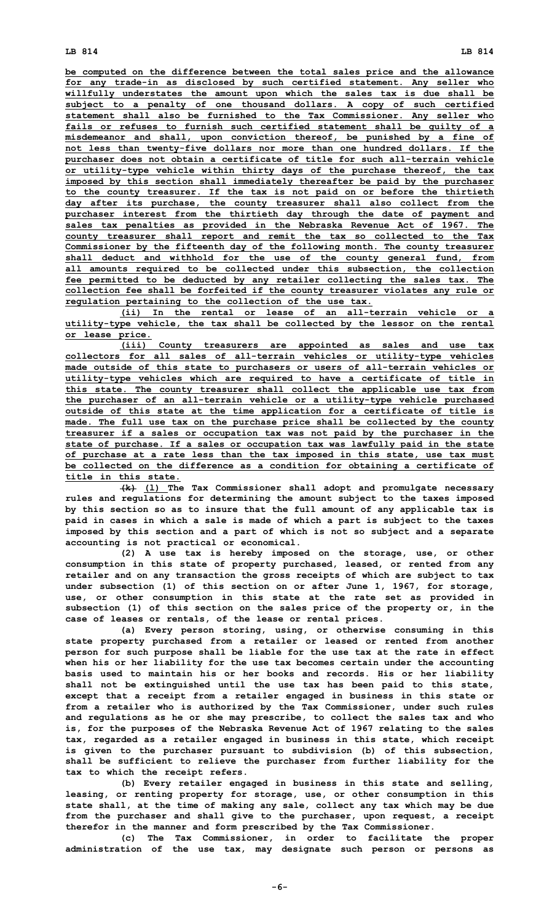**be computed on the difference between the total sales price and the allowance for any trade-in as disclosed by such certified statement. Any seller who willfully understates the amount upon which the sales tax is due shall be subject to <sup>a</sup> penalty of one thousand dollars. A copy of such certified statement shall also be furnished to the Tax Commissioner. Any seller who fails or refuses to furnish such certified statement shall be guilty of <sup>a</sup> misdemeanor and shall, upon conviction thereof, be punished by <sup>a</sup> fine of not less than twenty-five dollars nor more than one hundred dollars. If the purchaser does not obtain <sup>a</sup> certificate of title for such all-terrain vehicle or utility-type vehicle within thirty days of the purchase thereof, the tax imposed by this section shall immediately thereafter be paid by the purchaser to the county treasurer. If the tax is not paid on or before the thirtieth day after its purchase, the county treasurer shall also collect from the purchaser interest from the thirtieth day through the date of payment and sales tax penalties as provided in the Nebraska Revenue Act of 1967. The county treasurer shall report and remit the tax so collected to the Tax Commissioner by the fifteenth day of the following month. The county treasurer shall deduct and withhold for the use of the county general fund, from all amounts required to be collected under this subsection, the collection fee permitted to be deducted by any retailer collecting the sales tax. The collection fee shall be forfeited if the county treasurer violates any rule or regulation pertaining to the collection of the use tax.**

**(ii) In the rental or lease of an all-terrain vehicle or <sup>a</sup> utility-type vehicle, the tax shall be collected by the lessor on the rental or lease price.**

**(iii) County treasurers are appointed as sales and use tax collectors for all sales of all-terrain vehicles or utility-type vehicles made outside of this state to purchasers or users of all-terrain vehicles or utility-type vehicles which are required to have <sup>a</sup> certificate of title in this state. The county treasurer shall collect the applicable use tax from the purchaser of an all-terrain vehicle or <sup>a</sup> utility-type vehicle purchased outside of this state at the time application for <sup>a</sup> certificate of title is made. The full use tax on the purchase price shall be collected by the county treasurer if <sup>a</sup> sales or occupation tax was not paid by the purchaser in the state of purchase. If <sup>a</sup> sales or occupation tax was lawfully paid in the state of purchase at <sup>a</sup> rate less than the tax imposed in this state, use tax must be collected on the difference as <sup>a</sup> condition for obtaining <sup>a</sup> certificate of title in this state.**

**(k) (l) The Tax Commissioner shall adopt and promulgate necessary rules and regulations for determining the amount subject to the taxes imposed by this section so as to insure that the full amount of any applicable tax is paid in cases in which <sup>a</sup> sale is made of which <sup>a</sup> part is subject to the taxes imposed by this section and <sup>a</sup> part of which is not so subject and <sup>a</sup> separate accounting is not practical or economical.**

**(2) <sup>A</sup> use tax is hereby imposed on the storage, use, or other consumption in this state of property purchased, leased, or rented from any retailer and on any transaction the gross receipts of which are subject to tax under subsection (1) of this section on or after June 1, 1967, for storage, use, or other consumption in this state at the rate set as provided in subsection (1) of this section on the sales price of the property or, in the case of leases or rentals, of the lease or rental prices.**

**(a) Every person storing, using, or otherwise consuming in this state property purchased from <sup>a</sup> retailer or leased or rented from another person for such purpose shall be liable for the use tax at the rate in effect when his or her liability for the use tax becomes certain under the accounting basis used to maintain his or her books and records. His or her liability shall not be extinguished until the use tax has been paid to this state, except that <sup>a</sup> receipt from <sup>a</sup> retailer engaged in business in this state or from <sup>a</sup> retailer who is authorized by the Tax Commissioner, under such rules and regulations as he or she may prescribe, to collect the sales tax and who is, for the purposes of the Nebraska Revenue Act of 1967 relating to the sales tax, regarded as <sup>a</sup> retailer engaged in business in this state, which receipt is given to the purchaser pursuant to subdivision (b) of this subsection, shall be sufficient to relieve the purchaser from further liability for the tax to which the receipt refers.**

**(b) Every retailer engaged in business in this state and selling, leasing, or renting property for storage, use, or other consumption in this state shall, at the time of making any sale, collect any tax which may be due from the purchaser and shall give to the purchaser, upon request, <sup>a</sup> receipt therefor in the manner and form prescribed by the Tax Commissioner.**

**(c) The Tax Commissioner, in order to facilitate the proper administration of the use tax, may designate such person or persons as**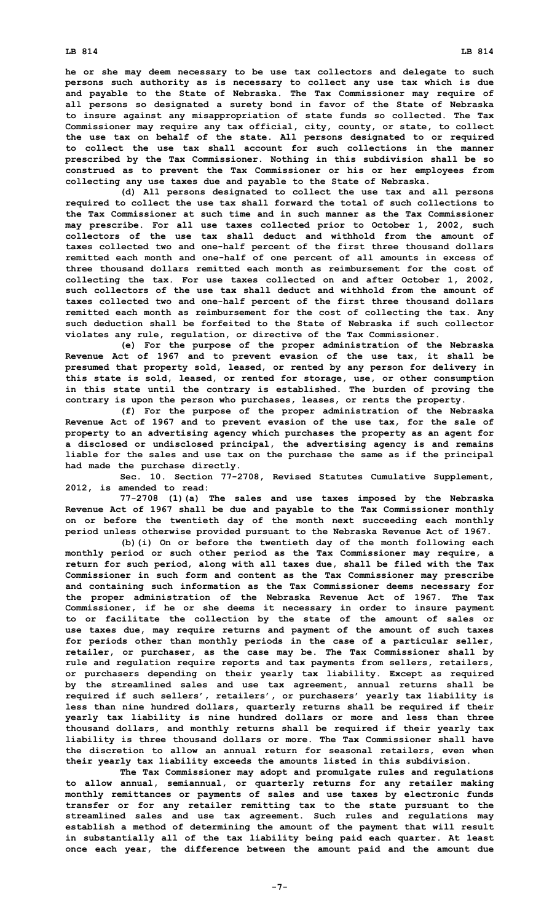**he or she may deem necessary to be use tax collectors and delegate to such persons such authority as is necessary to collect any use tax which is due and payable to the State of Nebraska. The Tax Commissioner may require of all persons so designated <sup>a</sup> surety bond in favor of the State of Nebraska to insure against any misappropriation of state funds so collected. The Tax Commissioner may require any tax official, city, county, or state, to collect the use tax on behalf of the state. All persons designated to or required to collect the use tax shall account for such collections in the manner prescribed by the Tax Commissioner. Nothing in this subdivision shall be so construed as to prevent the Tax Commissioner or his or her employees from collecting any use taxes due and payable to the State of Nebraska.**

**(d) All persons designated to collect the use tax and all persons required to collect the use tax shall forward the total of such collections to the Tax Commissioner at such time and in such manner as the Tax Commissioner may prescribe. For all use taxes collected prior to October 1, 2002, such collectors of the use tax shall deduct and withhold from the amount of taxes collected two and one-half percent of the first three thousand dollars remitted each month and one-half of one percent of all amounts in excess of three thousand dollars remitted each month as reimbursement for the cost of collecting the tax. For use taxes collected on and after October 1, 2002, such collectors of the use tax shall deduct and withhold from the amount of taxes collected two and one-half percent of the first three thousand dollars remitted each month as reimbursement for the cost of collecting the tax. Any such deduction shall be forfeited to the State of Nebraska if such collector violates any rule, regulation, or directive of the Tax Commissioner.**

**(e) For the purpose of the proper administration of the Nebraska Revenue Act of 1967 and to prevent evasion of the use tax, it shall be presumed that property sold, leased, or rented by any person for delivery in this state is sold, leased, or rented for storage, use, or other consumption in this state until the contrary is established. The burden of proving the contrary is upon the person who purchases, leases, or rents the property.**

**(f) For the purpose of the proper administration of the Nebraska Revenue Act of 1967 and to prevent evasion of the use tax, for the sale of property to an advertising agency which purchases the property as an agent for <sup>a</sup> disclosed or undisclosed principal, the advertising agency is and remains liable for the sales and use tax on the purchase the same as if the principal had made the purchase directly.**

**Sec. 10. Section 77-2708, Revised Statutes Cumulative Supplement, 2012, is amended to read:**

**77-2708 (1)(a) The sales and use taxes imposed by the Nebraska Revenue Act of 1967 shall be due and payable to the Tax Commissioner monthly on or before the twentieth day of the month next succeeding each monthly period unless otherwise provided pursuant to the Nebraska Revenue Act of 1967.**

**(b)(i) On or before the twentieth day of the month following each monthly period or such other period as the Tax Commissioner may require, <sup>a</sup> return for such period, along with all taxes due, shall be filed with the Tax Commissioner in such form and content as the Tax Commissioner may prescribe and containing such information as the Tax Commissioner deems necessary for the proper administration of the Nebraska Revenue Act of 1967. The Tax Commissioner, if he or she deems it necessary in order to insure payment to or facilitate the collection by the state of the amount of sales or use taxes due, may require returns and payment of the amount of such taxes for periods other than monthly periods in the case of <sup>a</sup> particular seller, retailer, or purchaser, as the case may be. The Tax Commissioner shall by rule and regulation require reports and tax payments from sellers, retailers, or purchasers depending on their yearly tax liability. Except as required by the streamlined sales and use tax agreement, annual returns shall be required if such sellers', retailers', or purchasers' yearly tax liability is less than nine hundred dollars, quarterly returns shall be required if their yearly tax liability is nine hundred dollars or more and less than three thousand dollars, and monthly returns shall be required if their yearly tax liability is three thousand dollars or more. The Tax Commissioner shall have the discretion to allow an annual return for seasonal retailers, even when their yearly tax liability exceeds the amounts listed in this subdivision.**

**The Tax Commissioner may adopt and promulgate rules and regulations to allow annual, semiannual, or quarterly returns for any retailer making monthly remittances or payments of sales and use taxes by electronic funds transfer or for any retailer remitting tax to the state pursuant to the streamlined sales and use tax agreement. Such rules and regulations may establish <sup>a</sup> method of determining the amount of the payment that will result in substantially all of the tax liability being paid each quarter. At least once each year, the difference between the amount paid and the amount due**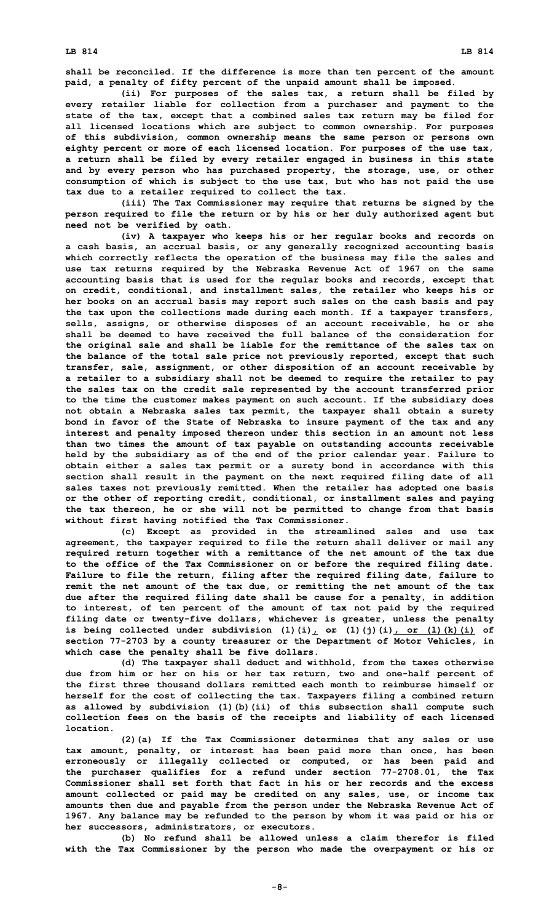**LB 814 LB 814**

**shall be reconciled. If the difference is more than ten percent of the amount paid, <sup>a</sup> penalty of fifty percent of the unpaid amount shall be imposed.**

**(ii) For purposes of the sales tax, <sup>a</sup> return shall be filed by every retailer liable for collection from <sup>a</sup> purchaser and payment to the state of the tax, except that <sup>a</sup> combined sales tax return may be filed for all licensed locations which are subject to common ownership. For purposes of this subdivision, common ownership means the same person or persons own eighty percent or more of each licensed location. For purposes of the use tax, <sup>a</sup> return shall be filed by every retailer engaged in business in this state and by every person who has purchased property, the storage, use, or other consumption of which is subject to the use tax, but who has not paid the use tax due to <sup>a</sup> retailer required to collect the tax.**

**(iii) The Tax Commissioner may require that returns be signed by the person required to file the return or by his or her duly authorized agent but need not be verified by oath.**

**(iv) <sup>A</sup> taxpayer who keeps his or her regular books and records on <sup>a</sup> cash basis, an accrual basis, or any generally recognized accounting basis which correctly reflects the operation of the business may file the sales and use tax returns required by the Nebraska Revenue Act of 1967 on the same accounting basis that is used for the regular books and records, except that on credit, conditional, and installment sales, the retailer who keeps his or her books on an accrual basis may report such sales on the cash basis and pay the tax upon the collections made during each month. If <sup>a</sup> taxpayer transfers, sells, assigns, or otherwise disposes of an account receivable, he or she shall be deemed to have received the full balance of the consideration for the original sale and shall be liable for the remittance of the sales tax on the balance of the total sale price not previously reported, except that such transfer, sale, assignment, or other disposition of an account receivable by <sup>a</sup> retailer to <sup>a</sup> subsidiary shall not be deemed to require the retailer to pay the sales tax on the credit sale represented by the account transferred prior to the time the customer makes payment on such account. If the subsidiary does not obtain <sup>a</sup> Nebraska sales tax permit, the taxpayer shall obtain <sup>a</sup> surety bond in favor of the State of Nebraska to insure payment of the tax and any interest and penalty imposed thereon under this section in an amount not less than two times the amount of tax payable on outstanding accounts receivable held by the subsidiary as of the end of the prior calendar year. Failure to obtain either <sup>a</sup> sales tax permit or <sup>a</sup> surety bond in accordance with this section shall result in the payment on the next required filing date of all sales taxes not previously remitted. When the retailer has adopted one basis or the other of reporting credit, conditional, or installment sales and paying the tax thereon, he or she will not be permitted to change from that basis without first having notified the Tax Commissioner.**

**(c) Except as provided in the streamlined sales and use tax agreement, the taxpayer required to file the return shall deliver or mail any required return together with <sup>a</sup> remittance of the net amount of the tax due to the office of the Tax Commissioner on or before the required filing date. Failure to file the return, filing after the required filing date, failure to remit the net amount of the tax due, or remitting the net amount of the tax due after the required filing date shall be cause for <sup>a</sup> penalty, in addition to interest, of ten percent of the amount of tax not paid by the required filing date or twenty-five dollars, whichever is greater, unless the penalty** is being collected under subdivision  $(1)(i)_r$   $\theta$   $(1)(j)(i)_r$  or  $(1)(k)(i)$  of **section 77-2703 by <sup>a</sup> county treasurer or the Department of Motor Vehicles, in which case the penalty shall be five dollars.**

**(d) The taxpayer shall deduct and withhold, from the taxes otherwise due from him or her on his or her tax return, two and one-half percent of the first three thousand dollars remitted each month to reimburse himself or herself for the cost of collecting the tax. Taxpayers filing <sup>a</sup> combined return as allowed by subdivision (1)(b)(ii) of this subsection shall compute such collection fees on the basis of the receipts and liability of each licensed location.**

**(2)(a) If the Tax Commissioner determines that any sales or use tax amount, penalty, or interest has been paid more than once, has been erroneously or illegally collected or computed, or has been paid and the purchaser qualifies for <sup>a</sup> refund under section 77-2708.01, the Tax Commissioner shall set forth that fact in his or her records and the excess amount collected or paid may be credited on any sales, use, or income tax amounts then due and payable from the person under the Nebraska Revenue Act of 1967. Any balance may be refunded to the person by whom it was paid or his or her successors, administrators, or executors.**

**(b) No refund shall be allowed unless <sup>a</sup> claim therefor is filed with the Tax Commissioner by the person who made the overpayment or his or**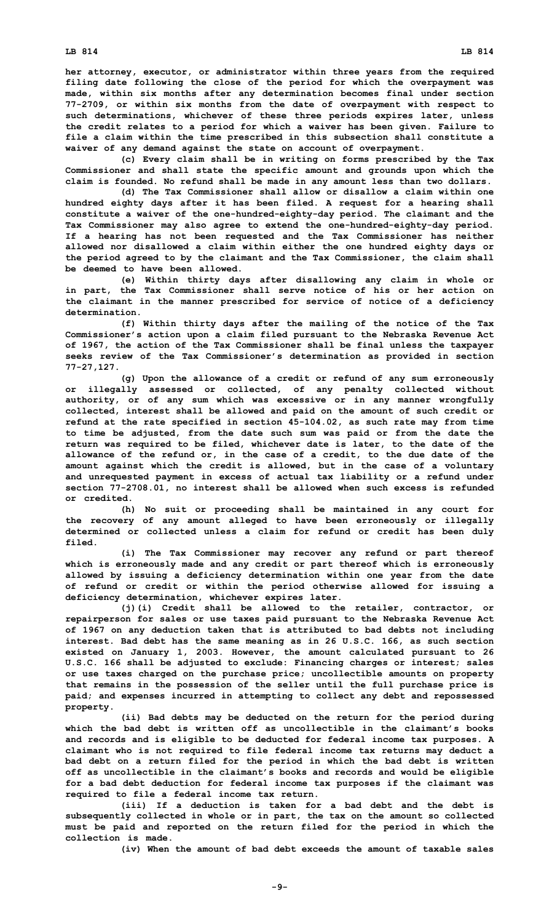**her attorney, executor, or administrator within three years from the required filing date following the close of the period for which the overpayment was made, within six months after any determination becomes final under section 77-2709, or within six months from the date of overpayment with respect to such determinations, whichever of these three periods expires later, unless the credit relates to <sup>a</sup> period for which <sup>a</sup> waiver has been given. Failure to file <sup>a</sup> claim within the time prescribed in this subsection shall constitute <sup>a</sup> waiver of any demand against the state on account of overpayment.**

**(c) Every claim shall be in writing on forms prescribed by the Tax Commissioner and shall state the specific amount and grounds upon which the claim is founded. No refund shall be made in any amount less than two dollars.**

**(d) The Tax Commissioner shall allow or disallow <sup>a</sup> claim within one hundred eighty days after it has been filed. A request for <sup>a</sup> hearing shall constitute <sup>a</sup> waiver of the one-hundred-eighty-day period. The claimant and the Tax Commissioner may also agree to extend the one-hundred-eighty-day period. If <sup>a</sup> hearing has not been requested and the Tax Commissioner has neither allowed nor disallowed <sup>a</sup> claim within either the one hundred eighty days or the period agreed to by the claimant and the Tax Commissioner, the claim shall be deemed to have been allowed.**

**(e) Within thirty days after disallowing any claim in whole or in part, the Tax Commissioner shall serve notice of his or her action on the claimant in the manner prescribed for service of notice of <sup>a</sup> deficiency determination.**

**(f) Within thirty days after the mailing of the notice of the Tax Commissioner's action upon <sup>a</sup> claim filed pursuant to the Nebraska Revenue Act of 1967, the action of the Tax Commissioner shall be final unless the taxpayer seeks review of the Tax Commissioner's determination as provided in section 77-27,127.**

**(g) Upon the allowance of <sup>a</sup> credit or refund of any sum erroneously or illegally assessed or collected, of any penalty collected without authority, or of any sum which was excessive or in any manner wrongfully collected, interest shall be allowed and paid on the amount of such credit or refund at the rate specified in section 45-104.02, as such rate may from time to time be adjusted, from the date such sum was paid or from the date the return was required to be filed, whichever date is later, to the date of the allowance of the refund or, in the case of <sup>a</sup> credit, to the due date of the amount against which the credit is allowed, but in the case of <sup>a</sup> voluntary and unrequested payment in excess of actual tax liability or <sup>a</sup> refund under section 77-2708.01, no interest shall be allowed when such excess is refunded or credited.**

**(h) No suit or proceeding shall be maintained in any court for the recovery of any amount alleged to have been erroneously or illegally determined or collected unless <sup>a</sup> claim for refund or credit has been duly filed.**

**(i) The Tax Commissioner may recover any refund or part thereof which is erroneously made and any credit or part thereof which is erroneously allowed by issuing <sup>a</sup> deficiency determination within one year from the date of refund or credit or within the period otherwise allowed for issuing <sup>a</sup> deficiency determination, whichever expires later.**

**(j)(i) Credit shall be allowed to the retailer, contractor, or repairperson for sales or use taxes paid pursuant to the Nebraska Revenue Act of 1967 on any deduction taken that is attributed to bad debts not including interest. Bad debt has the same meaning as in 26 U.S.C. 166, as such section existed on January 1, 2003. However, the amount calculated pursuant to 26 U.S.C. 166 shall be adjusted to exclude: Financing charges or interest; sales or use taxes charged on the purchase price; uncollectible amounts on property that remains in the possession of the seller until the full purchase price is paid; and expenses incurred in attempting to collect any debt and repossessed property.**

**(ii) Bad debts may be deducted on the return for the period during which the bad debt is written off as uncollectible in the claimant's books and records and is eligible to be deducted for federal income tax purposes. A claimant who is not required to file federal income tax returns may deduct <sup>a</sup> bad debt on <sup>a</sup> return filed for the period in which the bad debt is written off as uncollectible in the claimant's books and records and would be eligible for <sup>a</sup> bad debt deduction for federal income tax purposes if the claimant was required to file <sup>a</sup> federal income tax return.**

**(iii) If <sup>a</sup> deduction is taken for <sup>a</sup> bad debt and the debt is subsequently collected in whole or in part, the tax on the amount so collected must be paid and reported on the return filed for the period in which the collection is made.**

**(iv) When the amount of bad debt exceeds the amount of taxable sales**